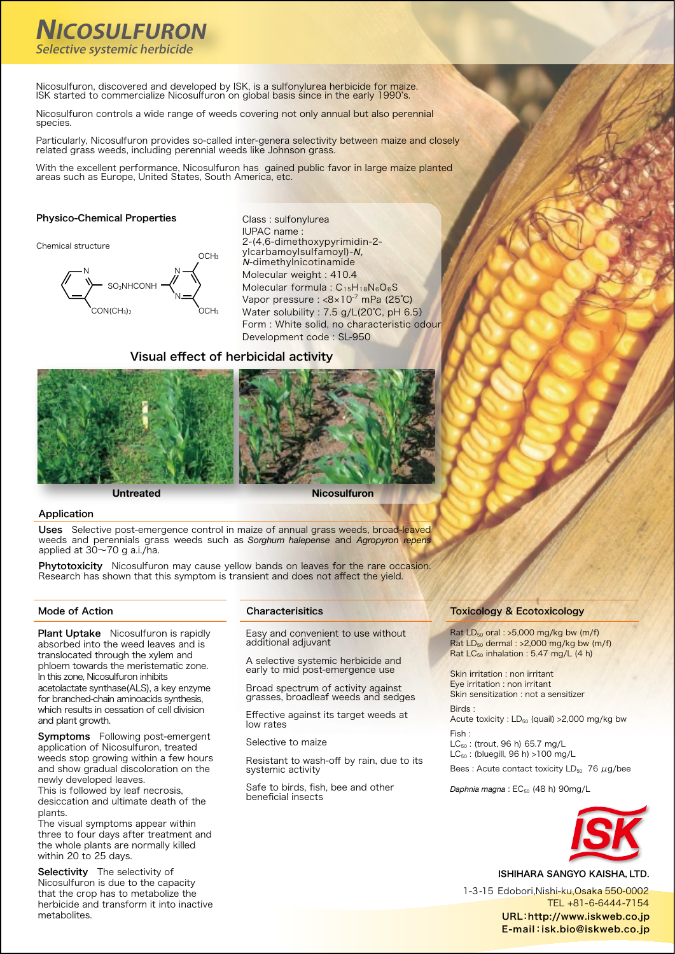# **NICOSULFURON** Selective systemic herbicide

Nicosulfuron, discovered and developed by ISK, is a sulfonylurea herbicide for maize. ISK started to commercialize Nicosulfuron on global basis since in the early 1990's.

Nicosulfuron controls a wide range of weeds covering not only annual but also perennial .species

Particularly, Nicosulfuron provides so-called inter-genera selectivity between maize and closely related grass weeds, including perennial weeds like Johnson grass.

With the excellent performance, Nicosulfuron has gained public favor in large maize planted areas such as Europe, United States, South America, etc.

### Physico-Chemical Properties

Chemical structure



Class : sulfonylurea IUPAC name: 2-(4,6-dimethoxypyrimidin-2ylcarbamoylsulfamoyl)-N, dimethylnicotinamide-*N* Molecular weight : 410.4 Molecular formula :  $C_{15}H_{18}N_6O_6S$ Vapor pressure :  $<8\times10^{-7}$  mPa (25°C) Water solubility : 7.5 g/L(20°C, pH 6.5) Form : White solid, no characteristic odour Development code : SL-950

### Visual effect of herbicidal activity



**Nicosulfuron Untreated**

### Application

Uses Selective post-emergence control in maize of annual grass weeds, broad-leaved weeds and perennials grass weeds such as *Sorghum halepense* and *Agropyron repens* .ha./i.a g 70~30 at applied

Phytotoxicity Nicosulfuron may cause yellow bands on leaves for the rare occasion. Research has shown that this symptom is transient and does not affect the yield.

Plant Uptake Nicosulfuron is rapidly absorbed into the weed leaves and is translocated through the xylem and phloem towards the meristematic zone. in this zone, Nicosulfuron inhibits acetolactate synthase(ALS), a key enzyme for branched-chain aminoacids synthesis, which results in cessation of cell division and plant growth.

Symptoms Following post-emergent application of Nicosulfuron, treated weeds stop growing within a few hours and show gradual discoloration on the newly developed leaves.

This is followed by leaf necrosis, desiccation and ultimate death of the .plants

The visual symptoms appear within three to four days after treatment and the whole plants are normally killed within 20 to 25 days.

Selectivity The selectivity of Nicosulfuron is due to the capacity that the crop has to metabolize the herbicide and transform it into inactive .metabolites

### Mode of Action **Characterisitics**

Easy and convenient to use without additional adjuvant

A selective systemic herbicide and early to mid post-emergence use

Broad spectrum of activity against grasses, broadleaf weeds and sedges

Effective against its target weeds at low rates

Selective to maize

Resistant to wash-off by rain, due to its systemic activity

Safe to birds, fish, bee and other beneficial insects

### **Toxicology & Ecotoxicology**

Rat  $LD_{50}$  oral : >5,000 mg/kg bw (m/f) Rat  $LD_{50}$  dermal : >2,000 mg/kg bw (m/f) Rat  $LC_{50}$  inhalation : 5.47 mg/L (4 h)

Skin irritation : non irritant Eye irritation : non irritant Skin sensitization : not a sensitizer : Birds

Acute toxicity :  $LD_{50}$  (quail) > 2,000 mg/kg bw : Fish

 $LC_{50}$ : (trout, 96 h) 65.7 mg/L  $LC_{50}$ : (bluegill, 96 h) >100 mg/L

Bees: Acute contact toxicity  $LD_{50}$  76  $\mu$ g/bee

Daphnia magna: EC<sub>50</sub> (48 h) 90mg/L



ISHIHARA SANGYO KAISHA, LTD.

1-3-15 Edobori Nishi-ku Osaka 550-0002 TEL +81-6-6444-7154 URL:http://www.iskweb.co.jp E-mail:isk.bio@iskweb.co.jp